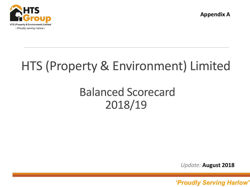

**Appendix A**

# HTS (Property & Environment) Limited

## Balanced Scorecard 2018/19

*Update:* **August 2018**

*'Proudly serving Harlow' 'Proudly Serving Harlow'* <sup>1</sup>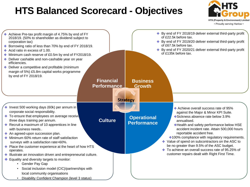### **HTS Balanced Scorecard - Objectives**



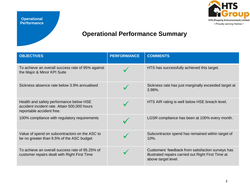

#### **Operational Performance Summary**

| <b>OBJECTIVES</b>                                                                                                    | <b>PERFORMANCE</b> | <b>COMMENTS</b>                                                                                                                 |
|----------------------------------------------------------------------------------------------------------------------|--------------------|---------------------------------------------------------------------------------------------------------------------------------|
| To achieve an overall success rate of 95% against<br>the Major & Minor KPI Suite                                     |                    | HTS has successfully achieved this target.                                                                                      |
| Sickness absence rate below 3.9% annualised                                                                          |                    | Sickness rate has just marginally exceeded target at<br>3.98%.                                                                  |
| Health and safety performance below HSE<br>accident incident rate. Attain 500,000 hours<br>reportable accident free. |                    | HTS AIR rating is well below HSE breach level.                                                                                  |
| 100% compliance with regulatory requirements                                                                         |                    | LGSR compliance has been at 100% every month.                                                                                   |
| Value of spend on subcontractors on the ASC to<br>be no greater than 9.5% of the ASC budget                          |                    | Subcontractor spend has remained within target of<br>10%.                                                                       |
| To achieve an overall success rate of 95.25% of<br>customer repairs dealt with Right First Time                      |                    | Customers' feedback from satisfaction surveys has<br>illustrated repairs carried out Right First Time at<br>above target level. |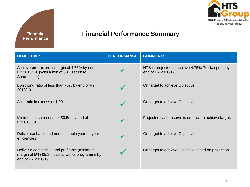



#### **Financial Performance Summary**

| <b>OBJECTIVES</b>                                                                                                    | <b>PERFORMANCE</b> | <b>COMMENTS</b>                                                          |
|----------------------------------------------------------------------------------------------------------------------|--------------------|--------------------------------------------------------------------------|
| Achieve pre-tax profit margin of 4.75% by end of<br>FY 2018/19. (With a min of 50% return to<br>Shareholder)         |                    | HTS is projected to achieve 4.75% Pre-tax profit by<br>end of FY 2018/19 |
| Borrowing ratio of less than 70% by end of FY<br>2018/19                                                             |                    | On target to achieve Objective                                           |
| Acid ratio in excess of 1.00                                                                                         |                    | On target to achieve Objective                                           |
| Minimum cash reserve of £0.5m by end of<br>FY2018/19                                                                 |                    | Projected cash reserve is on track to achieve target.                    |
| Deliver cashable and non-cashable year on year<br>efficiencies                                                       |                    | On target to achieve Objective                                           |
| Deliver a competitive and profitable (minimum<br>margin of 5%) £5.8m capital works programme by<br>end of FY 2018/19 |                    | On target to achieve Objective based on projection                       |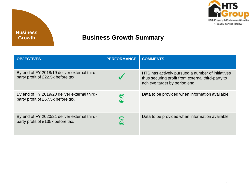

#### **Business Growth Summary**

| <b>OBJECTIVES</b>                                                                  | <b>PERFORMANCE</b> | <b>COMMENTS</b>                                                                                                                        |
|------------------------------------------------------------------------------------|--------------------|----------------------------------------------------------------------------------------------------------------------------------------|
| By end of FY 2018/19 deliver external third-<br>party profit of £22.5k before tax. |                    | HTS has actively pursued a number of initiatives<br>thus securing profit from external third-party to<br>achieve target by period end. |
| By end of FY 2019/20 deliver external third-<br>party profit of £67.5k before tax. |                    | Data to be provided when information available                                                                                         |
| By end of FY 2020/21 deliver external third-<br>party profit of £135k before tax.  |                    | Data to be provided when information available                                                                                         |